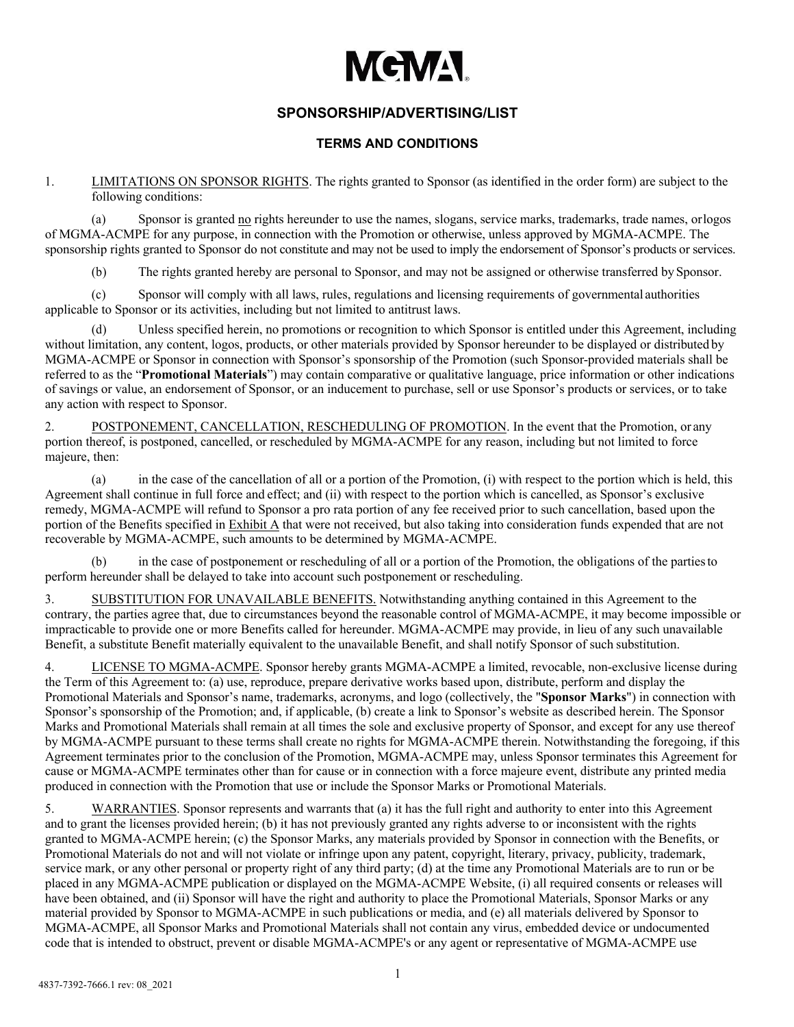# **MEMA**

## **SPONSORSHIP/ADVERTISING/LIST**

### **TERMS AND CONDITIONS**

1. LIMITATIONS ON SPONSOR RIGHTS. The rights granted to Sponsor (as identified in the order form) are subject to the following conditions:

(a) Sponsor is granted no rights hereunder to use the names, slogans, service marks, trademarks, trade names, orlogos of MGMA-ACMPE for any purpose, in connection with the Promotion or otherwise, unless approved by MGMA-ACMPE. The sponsorship rights granted to Sponsor do not constitute and may not be used to imply the endorsement of Sponsor's products or services.

(b) The rights granted hereby are personal to Sponsor, and may not be assigned or otherwise transferred by Sponsor.

(c) Sponsor will comply with all laws, rules, regulations and licensing requirements of governmental authorities applicable to Sponsor or its activities, including but not limited to antitrust laws.

(d) Unless specified herein, no promotions or recognition to which Sponsor is entitled under this Agreement, including without limitation, any content, logos, products, or other materials provided by Sponsor hereunder to be displayed or distributed by MGMA-ACMPE or Sponsor in connection with Sponsor's sponsorship of the Promotion (such Sponsor-provided materials shall be referred to as the "**Promotional Materials**") may contain comparative or qualitative language, price information or other indications of savings or value, an endorsement of Sponsor, or an inducement to purchase, sell or use Sponsor's products or services, or to take any action with respect to Sponsor.

2. POSTPONEMENT, CANCELLATION, RESCHEDULING OF PROMOTION. In the event that the Promotion, or any portion thereof, is postponed, cancelled, or rescheduled by MGMA-ACMPE for any reason, including but not limited to force majeure, then:

(a) in the case of the cancellation of all or a portion of the Promotion, (i) with respect to the portion which is held, this Agreement shall continue in full force and effect; and (ii) with respect to the portion which is cancelled, as Sponsor's exclusive remedy, MGMA-ACMPE will refund to Sponsor a pro rata portion of any fee received prior to such cancellation, based upon the portion of the Benefits specified in Exhibit A that were not received, but also taking into consideration funds expended that are not recoverable by MGMA-ACMPE, such amounts to be determined by MGMA-ACMPE.

(b) in the case of postponement or rescheduling of all or a portion of the Promotion, the obligations of the partiesto perform hereunder shall be delayed to take into account such postponement or rescheduling.

3. SUBSTITUTION FOR UNAVAILABLE BENEFITS. Notwithstanding anything contained in this Agreement to the contrary, the parties agree that, due to circumstances beyond the reasonable control of MGMA-ACMPE, it may become impossible or impracticable to provide one or more Benefits called for hereunder. MGMA-ACMPE may provide, in lieu of any such unavailable Benefit, a substitute Benefit materially equivalent to the unavailable Benefit, and shall notify Sponsor of such substitution.

4. LICENSE TO MGMA-ACMPE. Sponsor hereby grants MGMA-ACMPE a limited, revocable, non-exclusive license during the Term of this Agreement to: (a) use, reproduce, prepare derivative works based upon, distribute, perform and display the Promotional Materials and Sponsor's name, trademarks, acronyms, and logo (collectively, the "**Sponsor Marks**") in connection with Sponsor's sponsorship of the Promotion; and, if applicable, (b) create a link to Sponsor's website as described herein. The Sponsor Marks and Promotional Materials shall remain at all times the sole and exclusive property of Sponsor, and except for any use thereof by MGMA-ACMPE pursuant to these terms shall create no rights for MGMA-ACMPE therein. Notwithstanding the foregoing, if this Agreement terminates prior to the conclusion of the Promotion, MGMA-ACMPE may, unless Sponsor terminates this Agreement for cause or MGMA-ACMPE terminates other than for cause or in connection with a force majeure event, distribute any printed media produced in connection with the Promotion that use or include the Sponsor Marks or Promotional Materials.

5. WARRANTIES. Sponsor represents and warrants that (a) it has the full right and authority to enter into this Agreement and to grant the licenses provided herein; (b) it has not previously granted any rights adverse to or inconsistent with the rights granted to MGMA-ACMPE herein; (c) the Sponsor Marks, any materials provided by Sponsor in connection with the Benefits, or Promotional Materials do not and will not violate or infringe upon any patent, copyright, literary, privacy, publicity, trademark, service mark, or any other personal or property right of any third party; (d) at the time any Promotional Materials are to run or be placed in any MGMA-ACMPE publication or displayed on the MGMA-ACMPE Website, (i) all required consents or releases will have been obtained, and (ii) Sponsor will have the right and authority to place the Promotional Materials, Sponsor Marks or any material provided by Sponsor to MGMA-ACMPE in such publications or media, and (e) all materials delivered by Sponsor to MGMA-ACMPE, all Sponsor Marks and Promotional Materials shall not contain any virus, embedded device or undocumented code that is intended to obstruct, prevent or disable MGMA-ACMPE's or any agent or representative of MGMA-ACMPE use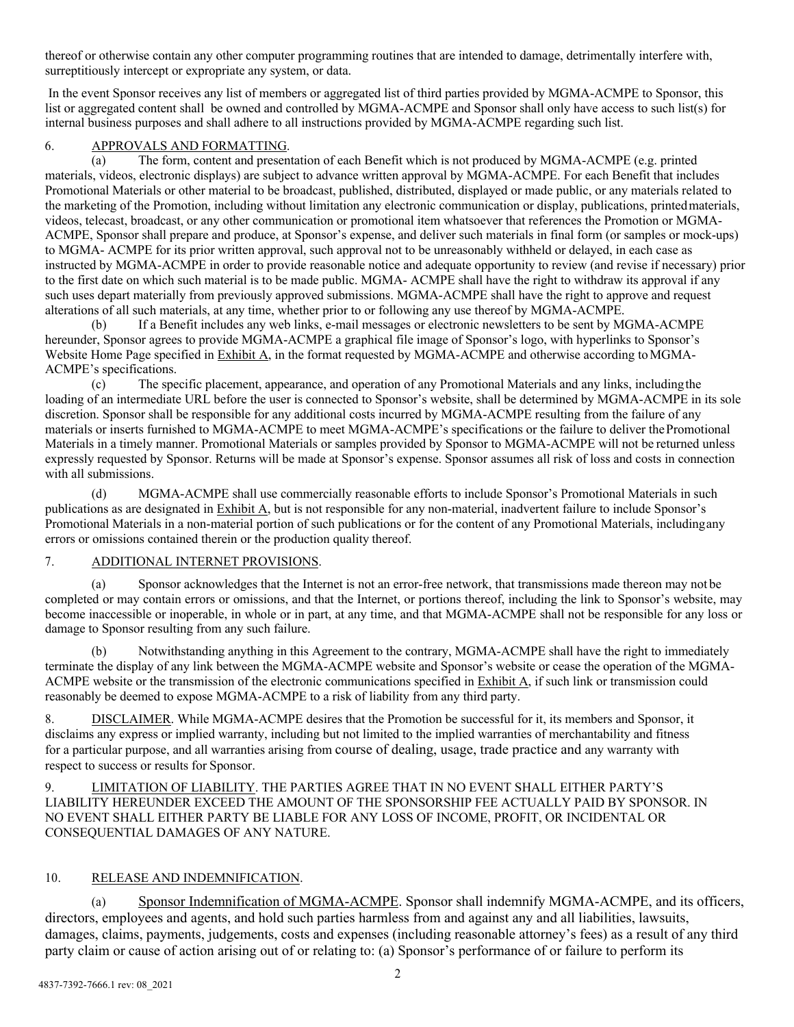thereof or otherwise contain any other computer programming routines that are intended to damage, detrimentally interfere with, surreptitiously intercept or expropriate any system, or data.

In the event Sponsor receives any list of members or aggregated list of third parties provided by MGMA-ACMPE to Sponsor, this list or aggregated content shall be owned and controlled by MGMA-ACMPE and Sponsor shall only have access to such list(s) for internal business purposes and shall adhere to all instructions provided by MGMA-ACMPE regarding such list.

#### 6. APPROVALS AND FORMATTING.

The form, content and presentation of each Benefit which is not produced by MGMA-ACMPE (e.g. printed materials, videos, electronic displays) are subject to advance written approval by MGMA-ACMPE. For each Benefit that includes Promotional Materials or other material to be broadcast, published, distributed, displayed or made public, or any materials related to the marketing of the Promotion, including without limitation any electronic communication or display, publications, printedmaterials, videos, telecast, broadcast, or any other communication or promotional item whatsoever that references the Promotion or MGMA-ACMPE, Sponsor shall prepare and produce, at Sponsor's expense, and deliver such materials in final form (or samples or mock-ups) to MGMA- ACMPE for its prior written approval, such approval not to be unreasonably withheld or delayed, in each case as instructed by MGMA-ACMPE in order to provide reasonable notice and adequate opportunity to review (and revise if necessary) prior to the first date on which such material is to be made public. MGMA- ACMPE shall have the right to withdraw its approval if any such uses depart materially from previously approved submissions. MGMA-ACMPE shall have the right to approve and request alterations of all such materials, at any time, whether prior to or following any use thereof by MGMA-ACMPE.

(b) If a Benefit includes any web links, e-mail messages or electronic newsletters to be sent by MGMA-ACMPE hereunder, Sponsor agrees to provide MGMA-ACMPE a graphical file image of Sponsor's logo, with hyperlinks to Sponsor's Website Home Page specified in Exhibit A, in the format requested by MGMA-ACMPE and otherwise according to MGMA-ACMPE's specifications.

(c) The specific placement, appearance, and operation of any Promotional Materials and any links, includingthe loading of an intermediate URL before the user is connected to Sponsor's website, shall be determined by MGMA-ACMPE in its sole discretion. Sponsor shall be responsible for any additional costs incurred by MGMA-ACMPE resulting from the failure of any materials or inserts furnished to MGMA-ACMPE to meet MGMA-ACMPE's specifications or the failure to deliver thePromotional Materials in a timely manner. Promotional Materials or samples provided by Sponsor to MGMA-ACMPE will not be returned unless expressly requested by Sponsor. Returns will be made at Sponsor's expense. Sponsor assumes all risk of loss and costs in connection with all submissions.

(d) MGMA-ACMPE shall use commercially reasonable efforts to include Sponsor's Promotional Materials in such publications as are designated in Exhibit A, but is not responsible for any non-material, inadvertent failure to include Sponsor's Promotional Materials in a non-material portion of such publications or for the content of any Promotional Materials, includingany errors or omissions contained therein or the production quality thereof.

#### 7. ADDITIONAL INTERNET PROVISIONS.

(a) Sponsor acknowledges that the Internet is not an error-free network, that transmissions made thereon may not be completed or may contain errors or omissions, and that the Internet, or portions thereof, including the link to Sponsor's website, may become inaccessible or inoperable, in whole or in part, at any time, and that MGMA-ACMPE shall not be responsible for any loss or damage to Sponsor resulting from any such failure.

(b) Notwithstanding anything in this Agreement to the contrary, MGMA-ACMPE shall have the right to immediately terminate the display of any link between the MGMA-ACMPE website and Sponsor's website or cease the operation of the MGMA-ACMPE website or the transmission of the electronic communications specified in Exhibit A, if such link or transmission could reasonably be deemed to expose MGMA-ACMPE to a risk of liability from any third party.

8. DISCLAIMER. While MGMA-ACMPE desires that the Promotion be successful for it, its members and Sponsor, it disclaims any express or implied warranty, including but not limited to the implied warranties of merchantability and fitness for a particular purpose, and all warranties arising from course of dealing, usage, trade practice and any warranty with respect to success or results for Sponsor.

9. LIMITATION OF LIABILITY. THE PARTIES AGREE THAT IN NO EVENT SHALL EITHER PARTY'S LIABILITY HEREUNDER EXCEED THE AMOUNT OF THE SPONSORSHIP FEE ACTUALLY PAID BY SPONSOR. IN NO EVENT SHALL EITHER PARTY BE LIABLE FOR ANY LOSS OF INCOME, PROFIT, OR INCIDENTAL OR CONSEQUENTIAL DAMAGES OF ANY NATURE.

#### 10. RELEASE AND INDEMNIFICATION.

(a) Sponsor Indemnification of MGMA-ACMPE. Sponsor shall indemnify MGMA-ACMPE, and its officers, directors, employees and agents, and hold such parties harmless from and against any and all liabilities, lawsuits, damages, claims, payments, judgements, costs and expenses (including reasonable attorney's fees) as a result of any third party claim or cause of action arising out of or relating to: (a) Sponsor's performance of or failure to perform its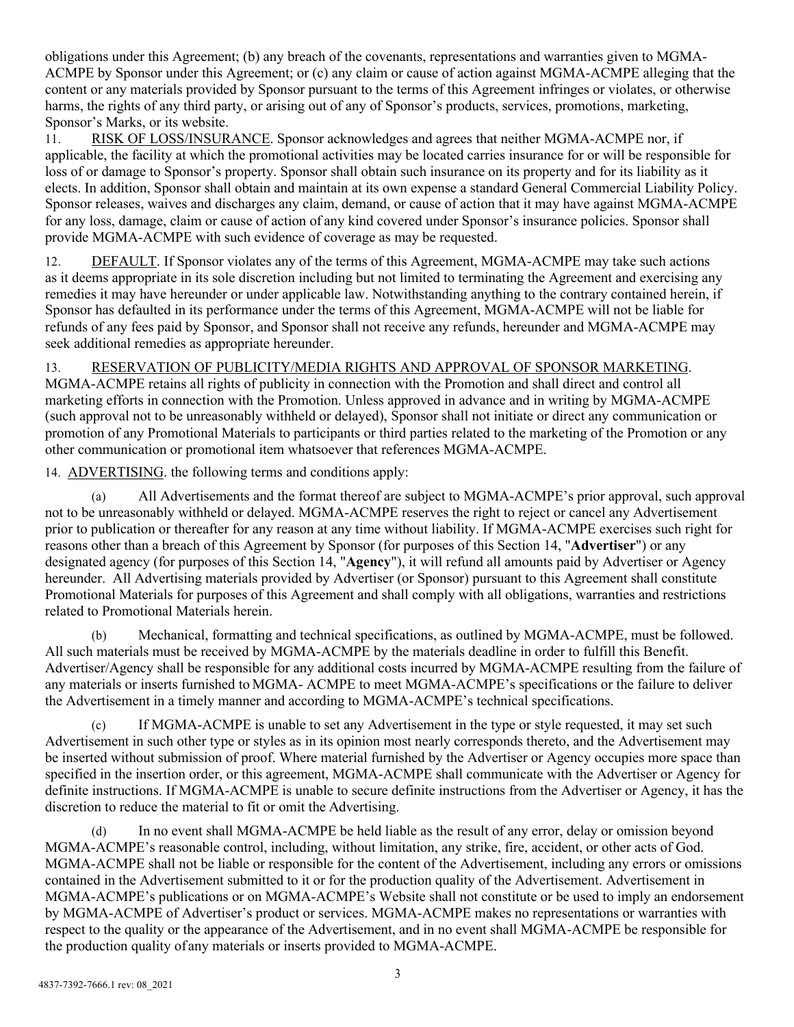obligations under this Agreement; (b) any breach of the covenants, representations and warranties given to MGMA-ACMPE by Sponsor under this Agreement; or (c) any claim or cause of action against MGMA-ACMPE alleging that the content or any materials provided by Sponsor pursuant to the terms of this Agreement infringes or violates, or otherwise harms, the rights of any third party, or arising out of any of Sponsor's products, services, promotions, marketing, Sponsor's Marks, or its website.

11. RISK OF LOSS/INSURANCE. Sponsor acknowledges and agrees that neither MGMA-ACMPE nor, if applicable, the facility at which the promotional activities may be located carries insurance for or will be responsible for loss of or damage to Sponsor's property. Sponsor shall obtain such insurance on its property and for its liability as it elects. In addition, Sponsor shall obtain and maintain at its own expense a standard General Commercial Liability Policy. Sponsor releases, waives and discharges any claim, demand, or cause of action that it may have against MGMA-ACMPE for any loss, damage, claim or cause of action of any kind covered under Sponsor's insurance policies. Sponsor shall provide MGMA-ACMPE with such evidence of coverage as may be requested.

12. DEFAULT. If Sponsor violates any of the terms of this Agreement, MGMA-ACMPE may take such actions as it deems appropriate in its sole discretion including but not limited to terminating the Agreement and exercising any remedies it may have hereunder or under applicable law. Notwithstanding anything to the contrary contained herein, if Sponsor has defaulted in its performance under the terms of this Agreement, MGMA-ACMPE will not be liable for refunds of any fees paid by Sponsor, and Sponsor shall not receive any refunds, hereunder and MGMA-ACMPE may seek additional remedies as appropriate hereunder.

13. RESERVATION OF PUBLICITY/MEDIA RIGHTS AND APPROVAL OF SPONSOR MARKETING. MGMA-ACMPE retains all rights of publicity in connection with the Promotion and shall direct and control all marketing efforts in connection with the Promotion. Unless approved in advance and in writing by MGMA-ACMPE (such approval not to be unreasonably withheld or delayed), Sponsor shall not initiate or direct any communication or promotion of any Promotional Materials to participants or third parties related to the marketing of the Promotion or any other communication or promotional item whatsoever that references MGMA-ACMPE.

14. ADVERTISING. the following terms and conditions apply:

(a) All Advertisements and the format thereof are subject to MGMA-ACMPE's prior approval, such approval not to be unreasonably withheld or delayed. MGMA-ACMPE reserves the right to reject or cancel any Advertisement prior to publication or thereafter for any reason at any time without liability. If MGMA-ACMPE exercises such right for reasons other than a breach of this Agreement by Sponsor (for purposes of this Section 14, "**Advertiser**") or any designated agency (for purposes of this Section 14, "**Agency**"), it will refund all amounts paid by Advertiser or Agency hereunder. All Advertising materials provided by Advertiser (or Sponsor) pursuant to this Agreement shall constitute Promotional Materials for purposes of this Agreement and shall comply with all obligations, warranties and restrictions related to Promotional Materials herein.

(b) Mechanical, formatting and technical specifications, as outlined by MGMA-ACMPE, must be followed. All such materials must be received by MGMA-ACMPE by the materials deadline in order to fulfill this Benefit. Advertiser/Agency shall be responsible for any additional costs incurred by MGMA-ACMPE resulting from the failure of any materials or inserts furnished to MGMA- ACMPE to meet MGMA-ACMPE's specifications or the failure to deliver the Advertisement in a timely manner and according to MGMA-ACMPE's technical specifications.

(c) If MGMA-ACMPE is unable to set any Advertisement in the type or style requested, it may set such Advertisement in such other type or styles as in its opinion most nearly corresponds thereto, and the Advertisement may be inserted without submission of proof. Where material furnished by the Advertiser or Agency occupies more space than specified in the insertion order, or this agreement, MGMA-ACMPE shall communicate with the Advertiser or Agency for definite instructions. If MGMA-ACMPE is unable to secure definite instructions from the Advertiser or Agency, it has the discretion to reduce the material to fit or omit the Advertising.

(d) In no event shall MGMA-ACMPE be held liable as the result of any error, delay or omission beyond MGMA-ACMPE's reasonable control, including, without limitation, any strike, fire, accident, or other acts of God. MGMA-ACMPE shall not be liable or responsible for the content of the Advertisement, including any errors or omissions contained in the Advertisement submitted to it or for the production quality of the Advertisement. Advertisement in MGMA-ACMPE's publications or on MGMA-ACMPE's Website shall not constitute or be used to imply an endorsement by MGMA-ACMPE of Advertiser's product or services. MGMA-ACMPE makes no representations or warranties with respect to the quality or the appearance of the Advertisement, and in no event shall MGMA-ACMPE be responsible for the production quality of any materials or inserts provided to MGMA-ACMPE.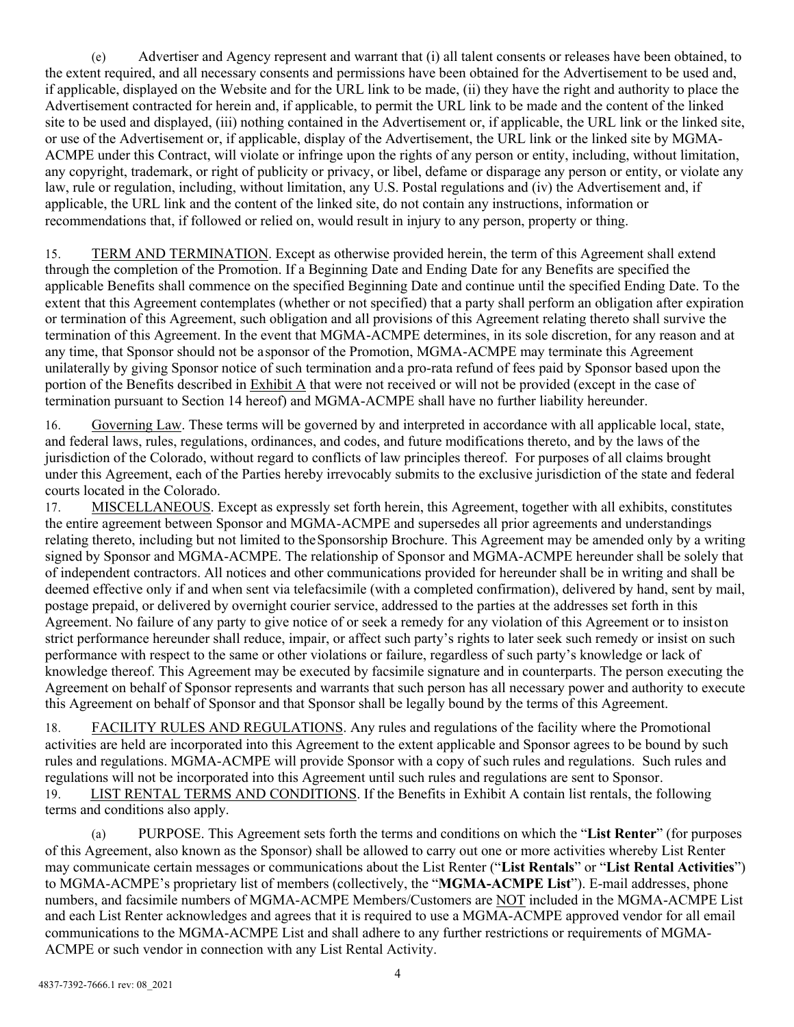(e) Advertiser and Agency represent and warrant that (i) all talent consents or releases have been obtained, to the extent required, and all necessary consents and permissions have been obtained for the Advertisement to be used and, if applicable, displayed on the Website and for the URL link to be made, (ii) they have the right and authority to place the Advertisement contracted for herein and, if applicable, to permit the URL link to be made and the content of the linked site to be used and displayed, (iii) nothing contained in the Advertisement or, if applicable, the URL link or the linked site, or use of the Advertisement or, if applicable, display of the Advertisement, the URL link or the linked site by MGMA-ACMPE under this Contract, will violate or infringe upon the rights of any person or entity, including, without limitation, any copyright, trademark, or right of publicity or privacy, or libel, defame or disparage any person or entity, or violate any law, rule or regulation, including, without limitation, any U.S. Postal regulations and (iv) the Advertisement and, if applicable, the URL link and the content of the linked site, do not contain any instructions, information or recommendations that, if followed or relied on, would result in injury to any person, property or thing.

15. TERM AND TERMINATION. Except as otherwise provided herein, the term of this Agreement shall extend through the completion of the Promotion. If a Beginning Date and Ending Date for any Benefits are specified the applicable Benefits shall commence on the specified Beginning Date and continue until the specified Ending Date. To the extent that this Agreement contemplates (whether or not specified) that a party shall perform an obligation after expiration or termination of this Agreement, such obligation and all provisions of this Agreement relating thereto shall survive the termination of this Agreement. In the event that MGMA-ACMPE determines, in its sole discretion, for any reason and at any time, that Sponsor should not be asponsor of the Promotion, MGMA-ACMPE may terminate this Agreement unilaterally by giving Sponsor notice of such termination and a pro-rata refund of fees paid by Sponsor based upon the portion of the Benefits described in **Exhibit A** that were not received or will not be provided (except in the case of termination pursuant to Section 14 hereof) and MGMA-ACMPE shall have no further liability hereunder.

16. Governing Law. These terms will be governed by and interpreted in accordance with all applicable local, state, and federal laws, rules, regulations, ordinances, and codes, and future modifications thereto, and by the laws of the jurisdiction of the Colorado, without regard to conflicts of law principles thereof. For purposes of all claims brought under this Agreement, each of the Parties hereby irrevocably submits to the exclusive jurisdiction of the state and federal courts located in the Colorado.

17. MISCELLANEOUS. Except as expressly set forth herein, this Agreement, together with all exhibits, constitutes the entire agreement between Sponsor and MGMA-ACMPE and supersedes all prior agreements and understandings relating thereto, including but not limited to theSponsorship Brochure. This Agreement may be amended only by a writing signed by Sponsor and MGMA-ACMPE. The relationship of Sponsor and MGMA-ACMPE hereunder shall be solely that of independent contractors. All notices and other communications provided for hereunder shall be in writing and shall be deemed effective only if and when sent via telefacsimile (with a completed confirmation), delivered by hand, sent by mail, postage prepaid, or delivered by overnight courier service, addressed to the parties at the addresses set forth in this Agreement. No failure of any party to give notice of or seek a remedy for any violation of this Agreement or to insiston strict performance hereunder shall reduce, impair, or affect such party's rights to later seek such remedy or insist on such performance with respect to the same or other violations or failure, regardless of such party's knowledge or lack of knowledge thereof. This Agreement may be executed by facsimile signature and in counterparts. The person executing the Agreement on behalf of Sponsor represents and warrants that such person has all necessary power and authority to execute this Agreement on behalf of Sponsor and that Sponsor shall be legally bound by the terms of this Agreement.

18. FACILITY RULES AND REGULATIONS. Any rules and regulations of the facility where the Promotional activities are held are incorporated into this Agreement to the extent applicable and Sponsor agrees to be bound by such rules and regulations. MGMA-ACMPE will provide Sponsor with a copy of such rules and regulations. Such rules and regulations will not be incorporated into this Agreement until such rules and regulations are sent to Sponsor. 19. LIST RENTAL TERMS AND CONDITIONS. If the Benefits in Exhibit A contain list rentals, the following terms and conditions also apply.

(a) PURPOSE. This Agreement sets forth the terms and conditions on which the "**List Renter**" (for purposes of this Agreement, also known as the Sponsor) shall be allowed to carry out one or more activities whereby List Renter may communicate certain messages or communications about the List Renter ("**List Rentals**" or "**List Rental Activities**") to MGMA-ACMPE's proprietary list of members (collectively, the "**MGMA-ACMPE List**"). E-mail addresses, phone numbers, and facsimile numbers of MGMA-ACMPE Members/Customers are NOT included in the MGMA-ACMPE List and each List Renter acknowledges and agrees that it is required to use a MGMA-ACMPE approved vendor for all email communications to the MGMA-ACMPE List and shall adhere to any further restrictions or requirements of MGMA-ACMPE or such vendor in connection with any List Rental Activity.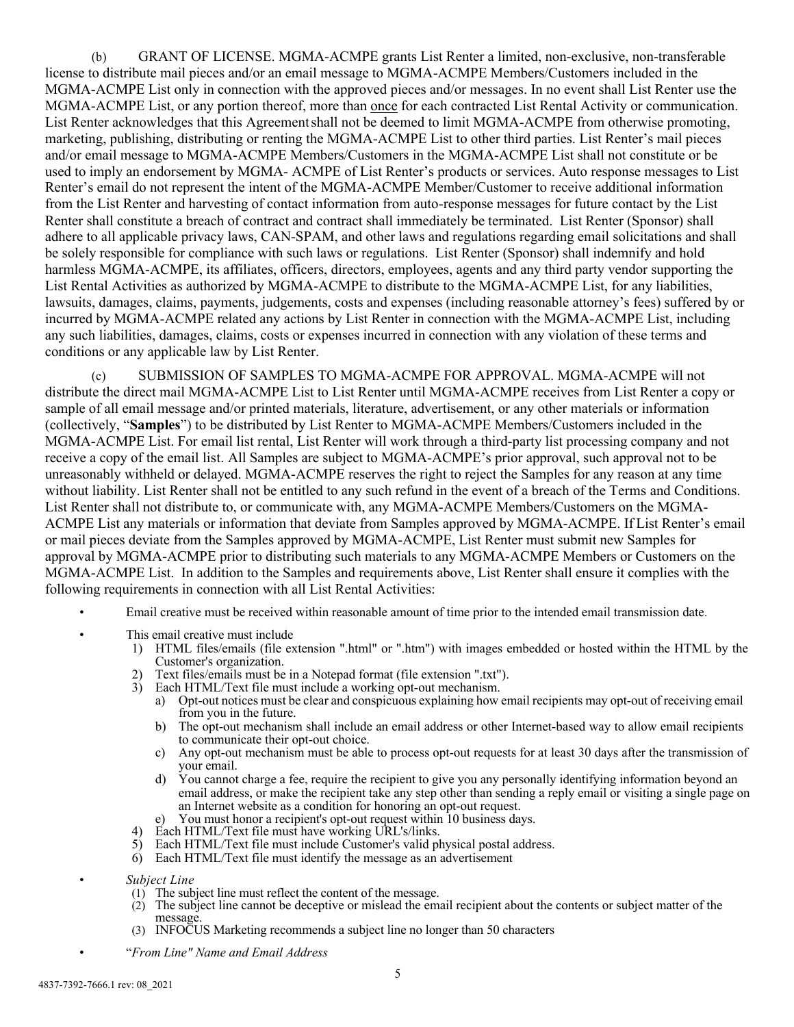(b) GRANT OF LICENSE. MGMA-ACMPE grants List Renter a limited, non-exclusive, non-transferable license to distribute mail pieces and/or an email message to MGMA-ACMPE Members/Customers included in the MGMA-ACMPE List only in connection with the approved pieces and/or messages. In no event shall List Renter use the MGMA-ACMPE List, or any portion thereof, more than once for each contracted List Rental Activity or communication. List Renter acknowledges that this Agreementshall not be deemed to limit MGMA-ACMPE from otherwise promoting, marketing, publishing, distributing or renting the MGMA-ACMPE List to other third parties. List Renter's mail pieces and/or email message to MGMA-ACMPE Members/Customers in the MGMA-ACMPE List shall not constitute or be used to imply an endorsement by MGMA- ACMPE of List Renter's products or services. Auto response messages to List Renter's email do not represent the intent of the MGMA-ACMPE Member/Customer to receive additional information from the List Renter and harvesting of contact information from auto-response messages for future contact by the List Renter shall constitute a breach of contract and contract shall immediately be terminated. List Renter (Sponsor) shall adhere to all applicable privacy laws, CAN-SPAM, and other laws and regulations regarding email solicitations and shall be solely responsible for compliance with such laws or regulations. List Renter (Sponsor) shall indemnify and hold harmless MGMA-ACMPE, its affiliates, officers, directors, employees, agents and any third party vendor supporting the List Rental Activities as authorized by MGMA-ACMPE to distribute to the MGMA-ACMPE List, for any liabilities, lawsuits, damages, claims, payments, judgements, costs and expenses (including reasonable attorney's fees) suffered by or incurred by MGMA-ACMPE related any actions by List Renter in connection with the MGMA-ACMPE List, including any such liabilities, damages, claims, costs or expenses incurred in connection with any violation of these terms and conditions or any applicable law by List Renter.

(c) SUBMISSION OF SAMPLES TO MGMA-ACMPE FOR APPROVAL. MGMA-ACMPE will not distribute the direct mail MGMA-ACMPE List to List Renter until MGMA-ACMPE receives from List Renter a copy or sample of all email message and/or printed materials, literature, advertisement, or any other materials or information (collectively, "**Samples**") to be distributed by List Renter to MGMA-ACMPE Members/Customers included in the MGMA-ACMPE List. For email list rental, List Renter will work through a third-party list processing company and not receive a copy of the email list. All Samples are subject to MGMA-ACMPE's prior approval, such approval not to be unreasonably withheld or delayed. MGMA-ACMPE reserves the right to reject the Samples for any reason at any time without liability. List Renter shall not be entitled to any such refund in the event of a breach of the Terms and Conditions. List Renter shall not distribute to, or communicate with, any MGMA-ACMPE Members/Customers on the MGMA-ACMPE List any materials or information that deviate from Samples approved by MGMA-ACMPE. If List Renter's email or mail pieces deviate from the Samples approved by MGMA-ACMPE, List Renter must submit new Samples for approval by MGMA-ACMPE prior to distributing such materials to any MGMA-ACMPE Members or Customers on the MGMA-ACMPE List. In addition to the Samples and requirements above, List Renter shall ensure it complies with the following requirements in connection with all List Rental Activities:

- Email creative must be received within reasonable amount of time prior to the intended email transmission date.
- This email creative must include
	- 1) HTML files/emails (file extension ".html" or ".htm") with images embedded or hosted within the HTML by the Customer's organization.
	- 2) Text files/emails must be in a Notepad format (file extension ".txt").
	- 3) Each HTML/Text file must include a working opt-out mechanism.
		- a) Opt-out notices must be clear and conspicuous explaining how email recipients may opt-out of receiving email from you in the future.
		- b) The opt-out mechanism shall include an email address or other Internet-based way to allow email recipients to communicate their opt-out choice.
		- c) Any opt-out mechanism must be able to process opt-out requests for at least 30 days after the transmission of your email.
		- d) You cannot charge a fee, require the recipient to give you any personally identifying information beyond an email address, or make the recipient take any step other than sending a reply email or visiting a single page on an Internet website as a condition for honoring an opt-out request.
	- e) You must honor a recipient's opt-out request within 10 business days.
	- 4) Each HTML/Text file must have working URL's/links.
	- 5) Each HTML/Text file must include Customer's valid physical postal address.
	- 6) Each HTML/Text file must identify the message as an advertisement

• *Subject Line*

- (1) The subject line must reflect the content of the message.
- (2) The subject line cannot be deceptive or mislead the email recipient about the contents or subject matter of the message.
- (3) INFOCUS Marketing recommends a subject line no longer than 50 characters

• "*From Line" Name and Email Address*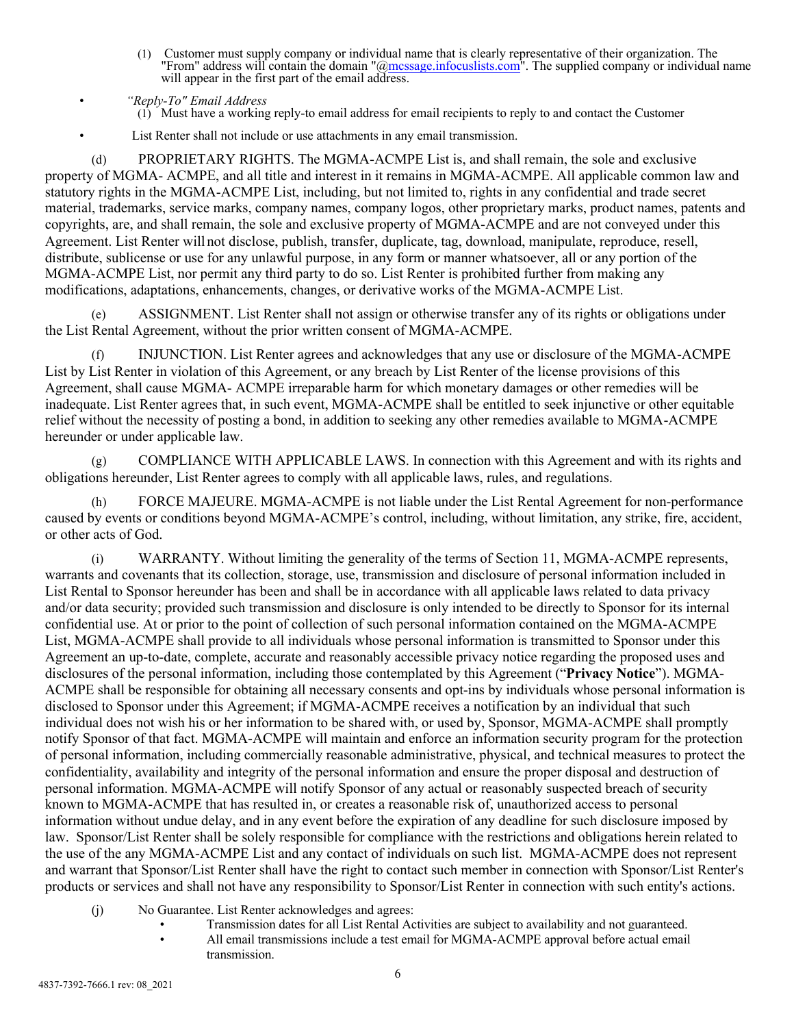(1) Customer must supply company or individual name that is clearly representative of their organization. The "From" address will contain the domain " $@$  mcssage.infocuslists.com". The supplied company or individual name will appear in the first part of the email address.

• List Renter shall not include or use attachments in any email transmission.

(d) PROPRIETARY RIGHTS. The MGMA-ACMPE List is, and shall remain, the sole and exclusive property of MGMA- ACMPE, and all title and interest in it remains in MGMA-ACMPE. All applicable common law and statutory rights in the MGMA-ACMPE List, including, but not limited to, rights in any confidential and trade secret material, trademarks, service marks, company names, company logos, other proprietary marks, product names, patents and copyrights, are, and shall remain, the sole and exclusive property of MGMA-ACMPE and are not conveyed under this Agreement. List Renter will not disclose, publish, transfer, duplicate, tag, download, manipulate, reproduce, resell, distribute, sublicense or use for any unlawful purpose, in any form or manner whatsoever, all or any portion of the MGMA-ACMPE List, nor permit any third party to do so. List Renter is prohibited further from making any modifications, adaptations, enhancements, changes, or derivative works of the MGMA-ACMPE List.

(e) ASSIGNMENT. List Renter shall not assign or otherwise transfer any of its rights or obligations under the List Rental Agreement, without the prior written consent of MGMA-ACMPE.

(f) INJUNCTION. List Renter agrees and acknowledges that any use or disclosure of the MGMA-ACMPE List by List Renter in violation of this Agreement, or any breach by List Renter of the license provisions of this Agreement, shall cause MGMA- ACMPE irreparable harm for which monetary damages or other remedies will be inadequate. List Renter agrees that, in such event, MGMA-ACMPE shall be entitled to seek injunctive or other equitable relief without the necessity of posting a bond, in addition to seeking any other remedies available to MGMA-ACMPE hereunder or under applicable law.

COMPLIANCE WITH APPLICABLE LAWS. In connection with this Agreement and with its rights and obligations hereunder, List Renter agrees to comply with all applicable laws, rules, and regulations.

(h) FORCE MAJEURE. MGMA-ACMPE is not liable under the List Rental Agreement for non-performance caused by events or conditions beyond MGMA-ACMPE's control, including, without limitation, any strike, fire, accident, or other acts of God.

(i) WARRANTY. Without limiting the generality of the terms of Section 11, MGMA-ACMPE represents, warrants and covenants that its collection, storage, use, transmission and disclosure of personal information included in List Rental to Sponsor hereunder has been and shall be in accordance with all applicable laws related to data privacy and/or data security; provided such transmission and disclosure is only intended to be directly to Sponsor for its internal confidential use. At or prior to the point of collection of such personal information contained on the MGMA-ACMPE List, MGMA-ACMPE shall provide to all individuals whose personal information is transmitted to Sponsor under this Agreement an up-to-date, complete, accurate and reasonably accessible privacy notice regarding the proposed uses and disclosures of the personal information, including those contemplated by this Agreement ("**Privacy Notice**"). MGMA-ACMPE shall be responsible for obtaining all necessary consents and opt-ins by individuals whose personal information is disclosed to Sponsor under this Agreement; if MGMA-ACMPE receives a notification by an individual that such individual does not wish his or her information to be shared with, or used by, Sponsor, MGMA-ACMPE shall promptly notify Sponsor of that fact. MGMA-ACMPE will maintain and enforce an information security program for the protection of personal information, including commercially reasonable administrative, physical, and technical measures to protect the confidentiality, availability and integrity of the personal information and ensure the proper disposal and destruction of personal information. MGMA-ACMPE will notify Sponsor of any actual or reasonably suspected breach of security known to MGMA-ACMPE that has resulted in, or creates a reasonable risk of, unauthorized access to personal information without undue delay, and in any event before the expiration of any deadline for such disclosure imposed by law. Sponsor/List Renter shall be solely responsible for compliance with the restrictions and obligations herein related to the use of the any MGMA-ACMPE List and any contact of individuals on such list. MGMA-ACMPE does not represent and warrant that Sponsor/List Renter shall have the right to contact such member in connection with Sponsor/List Renter's products or services and shall not have any responsibility to Sponsor/List Renter in connection with such entity's actions.

- (j) No Guarantee. List Renter acknowledges and agrees:
	- Transmission dates for all List Rental Activities are subject to availability and not guaranteed. • All email transmissions include a test email for MGMA-ACMPE approval before actual email transmission.

<sup>•</sup> *"Reply-To" Email Address*  $(i)$  Must have a working reply-to email address for email recipients to reply to and contact the Customer